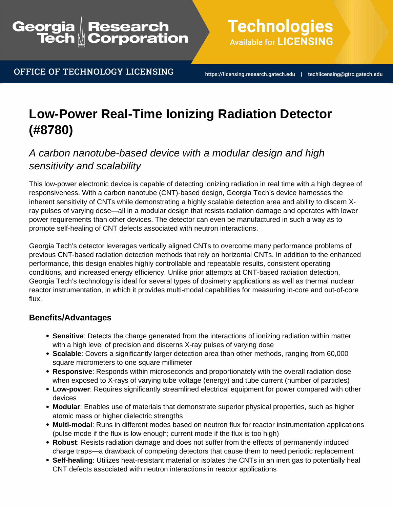# Research<br>Corporation Georgia

OFFICE OF TECHNOLOGY LICENSING

**Technologies Available for LICENSING** 

https://licensing.research.gatech.edu | techlicensing@gtrc.gatech.edu

# **Low-Power Real-Time Ionizing Radiation Detector (#8780)**

# A carbon nanotube-based device with a modular design and high sensitivity and scalability

This low-power electronic device is capable of detecting ionizing radiation in real time with a high degree of responsiveness. With a carbon nanotube (CNT)-based design, Georgia Tech's device harnesses the inherent sensitivity of CNTs while demonstrating a highly scalable detection area and ability to discern Xray pulses of varying dose—all in a modular design that resists radiation damage and operates with lower power requirements than other devices. The detector can even be manufactured in such a way as to promote self-healing of CNT defects associated with neutron interactions.

Georgia Tech's detector leverages vertically aligned CNTs to overcome many performance problems of previous CNT-based radiation detection methods that rely on horizontal CNTs. In addition to the enhanced performance, this design enables highly controllable and repeatable results, consistent operating conditions, and increased energy efficiency. Unlike prior attempts at CNT-based radiation detection, Georgia Tech's technology is ideal for several types of dosimetry applications as well as thermal nuclear reactor instrumentation, in which it provides multi-modal capabilities for measuring in-core and out-of-core flux.

### **Benefits/Advantages**

- **Sensitive**: Detects the charge generated from the interactions of ionizing radiation within matter with a high level of precision and discerns X-ray pulses of varying dose
- **Scalable**: Covers a significantly larger detection area than other methods, ranging from 60,000 square micrometers to one square millimeter
- **Responsive**: Responds within microseconds and proportionately with the overall radiation dose when exposed to X-rays of varying tube voltage (energy) and tube current (number of particles)
- **Low-power**: Requires significantly streamlined electrical equipment for power compared with other devices
- **Modular**: Enables use of materials that demonstrate superior physical properties, such as higher atomic mass or higher dielectric strengths
- **Multi-modal**: Runs in different modes based on neutron flux for reactor instrumentation applications (pulse mode if the flux is low enough; current mode if the flux is too high)
- **Robust**: Resists radiation damage and does not suffer from the effects of permanently induced charge traps—a drawback of competing detectors that cause them to need periodic replacement
- **Self-healing**: Utilizes heat-resistant material or isolates the CNTs in an inert gas to potentially heal CNT defects associated with neutron interactions in reactor applications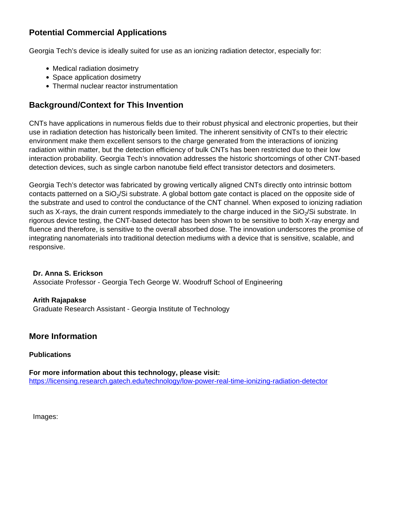## **Potential Commercial Applications**

Georgia Tech's device is ideally suited for use as an ionizing radiation detector, especially for:

- Medical radiation dosimetry
- Space application dosimetry
- Thermal nuclear reactor instrumentation

### **Background/Context for This Invention**

CNTs have applications in numerous fields due to their robust physical and electronic properties, but their use in radiation detection has historically been limited. The inherent sensitivity of CNTs to their electric environment make them excellent sensors to the charge generated from the interactions of ionizing radiation within matter, but the detection efficiency of bulk CNTs has been restricted due to their low interaction probability. Georgia Tech's innovation addresses the historic shortcomings of other CNT-based detection devices, such as single carbon nanotube field effect transistor detectors and dosimeters.

Georgia Tech's detector was fabricated by growing vertically aligned CNTs directly onto intrinsic bottom contacts patterned on a SiO<sub>2</sub>/Si substrate. A global bottom gate contact is placed on the opposite side of the substrate and used to control the conductance of the CNT channel. When exposed to ionizing radiation such as X-rays, the drain current responds immediately to the charge induced in the SiO<sub>2</sub>/Si substrate. In rigorous device testing, the CNT-based detector has been shown to be sensitive to both X-ray energy and fluence and therefore, is sensitive to the overall absorbed dose. The innovation underscores the promise of integrating nanomaterials into traditional detection mediums with a device that is sensitive, scalable, and responsive.

#### **Dr. Anna S. Erickson** Associate Professor - Georgia Tech George W. Woodruff School of Engineering

#### **Arith Rajapakse**

Graduate Research Assistant - Georgia Institute of Technology

#### **More Information**

#### **Publications**

**For more information about this technology, please visit:** <https://licensing.research.gatech.edu/technology/low-power-real-time-ionizing-radiation-detector>

Images: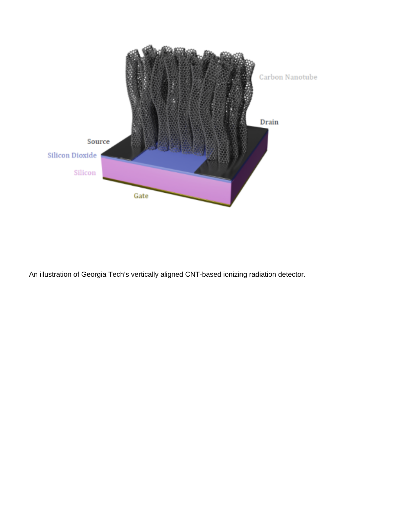

An illustration of Georgia Tech's vertically aligned CNT-based ionizing radiation detector.